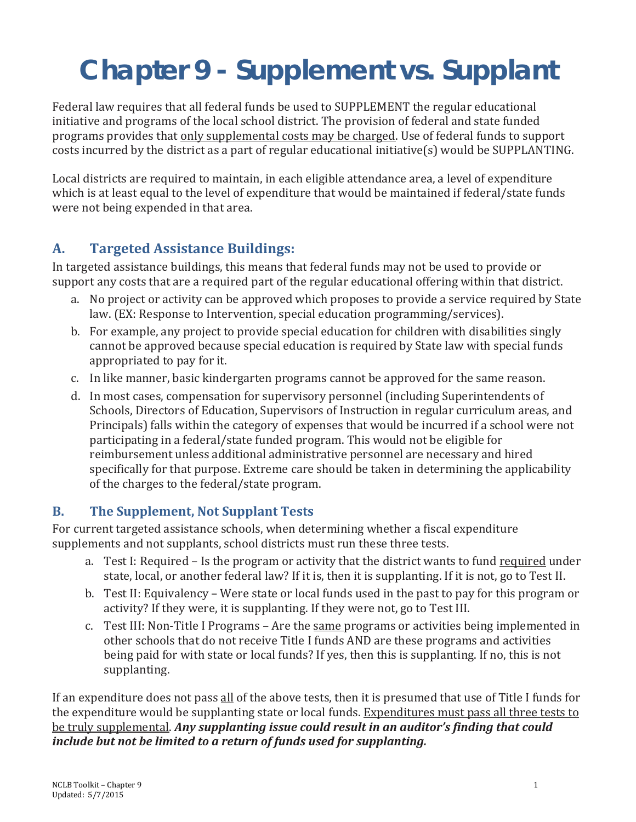# **Chapter 9 - Supplement vs. Supplant**

Federal law requires that all federal funds be used to SUPPLEMENT the regular educational initiative and programs of the local school district. The provision of federal and state funded programs provides that only supplemental costs may be charged. Use of federal funds to support costs incurred by the district as a part of regular educational initiative(s) would be SUPPLANTING.

Local districts are required to maintain, in each eligible attendance area, a level of expenditure which is at least equal to the level of expenditure that would be maintained if federal/state funds were not being expended in that area.

## **A. Targeted Assistance Buildings:**

In targeted assistance buildings, this means that federal funds may not be used to provide or support any costs that are a required part of the regular educational offering within that district.

- a. No project or activity can be approved which proposes to provide a service required by State law. (EX: Response to Intervention, special education programming/services).
- b. For example, any project to provide special education for children with disabilities singly cannot be approved because special education is required by State law with special funds appropriated to pay for it.
- c. In like manner, basic kindergarten programs cannot be approved for the same reason.
- d. In most cases, compensation for supervisory personnel (including Superintendents of Schools, Directors of Education, Supervisors of Instruction in regular curriculum areas, and Principals) falls within the category of expenses that would be incurred if a school were not participating in a federal/state funded program. This would not be eligible for reimbursement unless additional administrative personnel are necessary and hired specifically for that purpose. Extreme care should be taken in determining the applicability of the charges to the federal/state program.

## **B. The Supplement, Not Supplant Tests**

For current targeted assistance schools, when determining whether a fiscal expenditure supplements and not supplants, school districts must run these three tests.

- a. Test I: Required Is the program or activity that the district wants to fund required under state, local, or another federal law? If it is, then it is supplanting. If it is not, go to Test II.
- b. Test II: Equivalency Were state or local funds used in the past to pay for this program or activity? If they were, it is supplanting. If they were not, go to Test III.
- c. Test III: Non-Title I Programs Are the same programs or activities being implemented in other schools that do not receive Title I funds AND are these programs and activities being paid for with state or local funds? If yes, then this is supplanting. If no, this is not supplanting.

If an expenditure does not pass all of the above tests, then it is presumed that use of Title I funds for the expenditure would be supplanting state or local funds. Expenditures must pass all three tests to be truly supplemental. *Any supplanting issue could result in an auditor's finding that could include but not be limited to a return of funds used for supplanting.*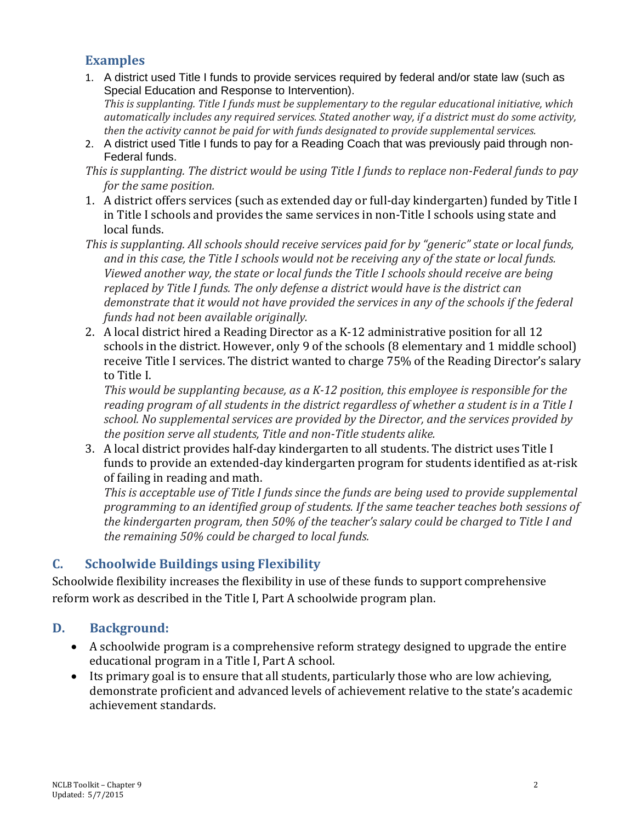#### **Examples**

1. A district used Title I funds to provide services required by federal and/or state law (such as Special Education and Response to Intervention).

*This is supplanting. Title I funds must be supplementary to the regular educational initiative, which automatically includes any required services. Stated another way, if a district must do some activity, then the activity cannot be paid for with funds designated to provide supplemental services.*

- 2. A district used Title I funds to pay for a Reading Coach that was previously paid through non-Federal funds.
- *This is supplanting. The district would be using Title I funds to replace non-Federal funds to pay for the same position.*
- 1. A district offers services (such as extended day or full-day kindergarten) funded by Title I in Title I schools and provides the same services in non-Title I schools using state and local funds.
- *This is supplanting. All schools should receive services paid for by "generic" state or local funds, and in this case, the Title I schools would not be receiving any of the state or local funds. Viewed another way, the state or local funds the Title I schools should receive are being replaced by Title I funds. The only defense a district would have is the district can demonstrate that it would not have provided the services in any of the schools if the federal funds had not been available originally.*
- 2. A local district hired a Reading Director as a K-12 administrative position for all 12 schools in the district. However, only 9 of the schools (8 elementary and 1 middle school) receive Title I services. The district wanted to charge 75% of the Reading Director's salary to Title I.

*This would be supplanting because, as a K-12 position, this employee is responsible for the reading program of all students in the district regardless of whether a student is in a Title I school. No supplemental services are provided by the Director, and the services provided by the position serve all students, Title and non-Title students alike.*

3. A local district provides half-day kindergarten to all students. The district uses Title I funds to provide an extended-day kindergarten program for students identified as at-risk of failing in reading and math.

*This is acceptable use of Title I funds since the funds are being used to provide supplemental programming to an identified group of students. If the same teacher teaches both sessions of the kindergarten program, then 50% of the teacher's salary could be charged to Title I and the remaining 50% could be charged to local funds.*

## **C. Schoolwide Buildings using Flexibility**

Schoolwide flexibility increases the flexibility in use of these funds to support comprehensive reform work as described in the Title I, Part A schoolwide program plan.

#### **D. Background:**

- A schoolwide program is a comprehensive reform strategy designed to upgrade the entire educational program in a Title I, Part A school.
- Its primary goal is to ensure that all students, particularly those who are low achieving, demonstrate proficient and advanced levels of achievement relative to the state's academic achievement standards.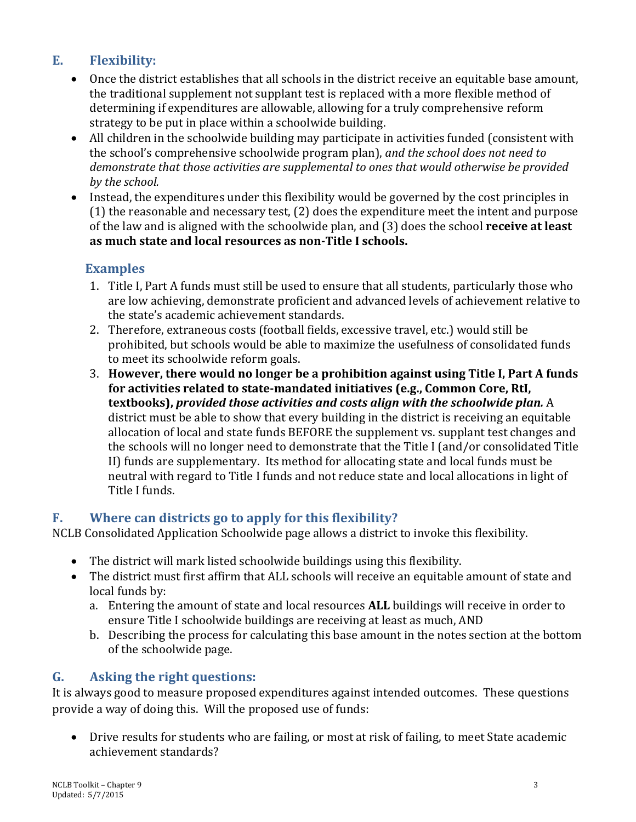## **E. Flexibility:**

- Once the district establishes that all schools in the district receive an equitable base amount, the traditional supplement not supplant test is replaced with a more flexible method of determining if expenditures are allowable, allowing for a truly comprehensive reform strategy to be put in place within a schoolwide building.
- All children in the schoolwide building may participate in activities funded (consistent with the school's comprehensive schoolwide program plan), *and the school does not need to demonstrate that those activities are supplemental to ones that would otherwise be provided by the school.*
- Instead, the expenditures under this flexibility would be governed by the cost principles in (1) the reasonable and necessary test, (2) does the expenditure meet the intent and purpose of the law and is aligned with the schoolwide plan, and (3) does the school **receive at least as much state and local resources as non-Title I schools.**

## **Examples**

- 1. Title I, Part A funds must still be used to ensure that all students, particularly those who are low achieving, demonstrate proficient and advanced levels of achievement relative to the state's academic achievement standards.
- 2. Therefore, extraneous costs (football fields, excessive travel, etc.) would still be prohibited, but schools would be able to maximize the usefulness of consolidated funds to meet its schoolwide reform goals.
- 3. **However, there would no longer be a prohibition against using Title I, Part A funds for activities related to state-mandated initiatives (e.g., Common Core, RtI, textbooks),** *provided those activities and costs align with the schoolwide plan.* A district must be able to show that every building in the district is receiving an equitable allocation of local and state funds BEFORE the supplement vs. supplant test changes and the schools will no longer need to demonstrate that the Title I (and/or consolidated Title II) funds are supplementary. Its method for allocating state and local funds must be neutral with regard to Title I funds and not reduce state and local allocations in light of Title I funds.

## **F. Where can districts go to apply for this flexibility?**

NCLB Consolidated Application Schoolwide page allows a district to invoke this flexibility.

- The district will mark listed schoolwide buildings using this flexibility.
- The district must first affirm that ALL schools will receive an equitable amount of state and local funds by:
	- a. Entering the amount of state and local resources **ALL** buildings will receive in order to ensure Title I schoolwide buildings are receiving at least as much, AND
	- b. Describing the process for calculating this base amount in the notes section at the bottom of the schoolwide page.

## **G. Asking the right questions:**

It is always good to measure proposed expenditures against intended outcomes. These questions provide a way of doing this. Will the proposed use of funds:

• Drive results for students who are failing, or most at risk of failing, to meet State academic achievement standards?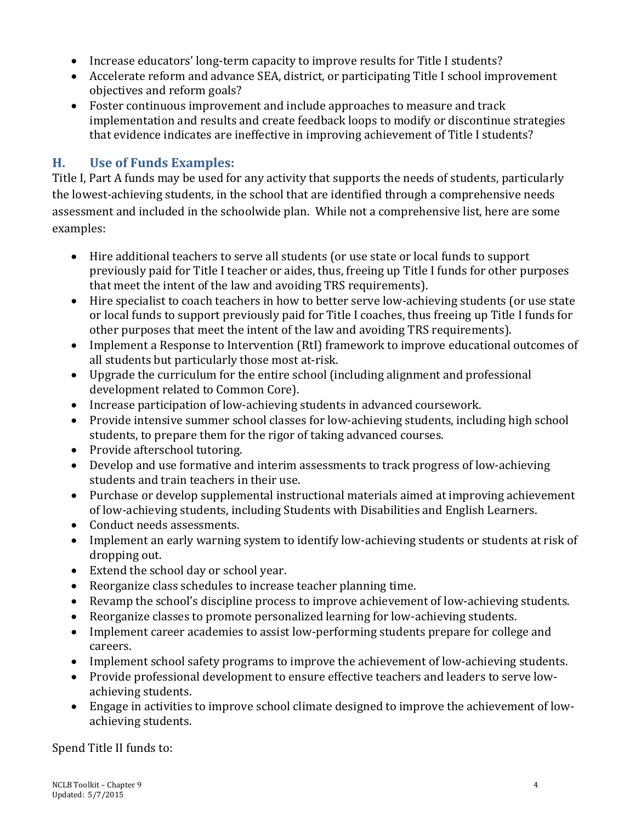- Increase educators' long-term capacity to improve results for Title I students?
- Accelerate reform and advance SEA, district, or participating Title I school improvement objectives and reform goals?
- Foster continuous improvement and include approaches to measure and track implementation and results and create feedback loops to modify or discontinue strategies that evidence indicates are ineffective in improving achievement of Title I students?

#### **H. Use of Funds Examples:**

Title I, Part A funds may be used for any activity that supports the needs of students, particularly the lowest-achieving students, in the school that are identified through a comprehensive needs assessment and included in the schoolwide plan. While not a comprehensive list, here are some examples:

- Hire additional teachers to serve all students (or use state or local funds to support previously paid for Title I teacher or aides, thus, freeing up Title I funds for other purposes that meet the intent of the law and avoiding TRS requirements).
- Hire specialist to coach teachers in how to better serve low-achieving students (or use state or local funds to support previously paid for Title I coaches, thus freeing up Title I funds for other purposes that meet the intent of the law and avoiding TRS requirements).
- Implement a Response to Intervention (RtI) framework to improve educational outcomes of all students but particularly those most at-risk.
- Upgrade the curriculum for the entire school (including alignment and professional development related to Common Core).
- Increase participation of low-achieving students in advanced coursework.
- Provide intensive summer school classes for low-achieving students, including high school students, to prepare them for the rigor of taking advanced courses.
- Provide afterschool tutoring.
- Develop and use formative and interim assessments to track progress of low-achieving students and train teachers in their use.
- Purchase or develop supplemental instructional materials aimed at improving achievement of low-achieving students, including Students with Disabilities and English Learners.
- Conduct needs assessments.
- Implement an early warning system to identify low-achieving students or students at risk of dropping out.
- Extend the school day or school year.
- Reorganize class schedules to increase teacher planning time.
- Revamp the school's discipline process to improve achievement of low-achieving students.
- Reorganize classes to promote personalized learning for low-achieving students.
- Implement career academies to assist low-performing students prepare for college and careers.
- Implement school safety programs to improve the achievement of low-achieving students.
- Provide professional development to ensure effective teachers and leaders to serve lowachieving students.
- Engage in activities to improve school climate designed to improve the achievement of lowachieving students.

Spend Title II funds to: